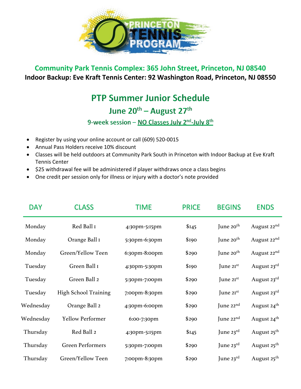

## **Community Park Tennis Complex: 365 John Street, Princeton, NJ 08540 Indoor Backup: Eve Kraft Tennis Center: 92 Washington Road, Princeton, NJ 08550**

## **PTP Summer Junior Schedule**

## June 20<sup>th</sup> – August 27<sup>th</sup>

## 9-week session - NO Classes July 2<sup>nd</sup>-July 8<sup>th</sup>

- Register by using your online account or call (609) 520-0015
- Annual Pass Holders receive 10% discount
- Classes will be held outdoors at Community Park South in Princeton with Indoor Backup at Eve Kraft Tennis Center
- \$25 withdrawal fee will be administered if player withdraws once a class begins
- One credit per session only for illness or injury with a doctor's note provided

| <b>DAY</b> | <b>CLASS</b>                | TIME          | <b>PRICE</b> | <b>BEGINS</b>         | <b>ENDS</b>             |
|------------|-----------------------------|---------------|--------------|-----------------------|-------------------------|
| Monday     | Red Ball I                  | 4:30pm-5:15pm | \$I45        | June 20 <sup>th</sup> | August 22 <sup>nd</sup> |
| Monday     | Orange Ball I               | 5:30pm-6:30pm | \$190        | June $20th$           | August 22 <sup>nd</sup> |
| Monday     | Green/Yellow Teen           | 6:30pm-8:00pm | \$290        | June $20th$           | August 22 <sup>nd</sup> |
| Tuesday    | Green Ball I                | 4:30pm-5:30pm | \$190        | June $2I^{st}$        | August 23rd             |
| Tuesday    | Green Ball 2                | 5:30pm-7:00pm | \$290        | June $2I^{st}$        | August 23rd             |
| Tuesday    | <b>High School Training</b> | 7:00pm-8:30pm | \$290        | June 21st             | August 23rd             |
| Wednesday  | Orange Ball 2               | 4:30pm-6:00pm | \$290        | June $22nd$           | August 24 <sup>th</sup> |
| Wednesday  | Yellow Performer            | 6:00-7:30pm   | \$290        | June $22nd$           | August 24 <sup>th</sup> |
| Thursday   | Red Ball 2                  | 4:30pm-5:15pm | \$145        | June $23^{\text{rd}}$ | August 25 <sup>th</sup> |
| Thursday   | <b>Green Performers</b>     | 5:30pm-7:00pm | \$290        | June $23^{\text{rd}}$ | August 25 <sup>th</sup> |
| Thursday   | Green/Yellow Teen           | 7:00pm-8:30pm | \$290        | June $23^{\text{rd}}$ | August 25 <sup>th</sup> |